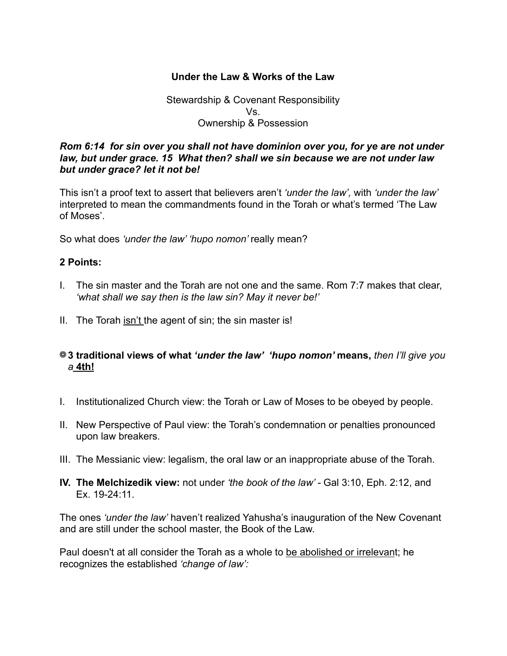# **Under the Law & Works of the Law**

## Stewardship & Covenant Responsibility Vs. Ownership & Possession

### *Rom 6:14 for sin over you shall not have dominion over you, for ye are not under law, but under grace. 15 What then? shall we sin because we are not under law but under grace? let it not be!*

This isn't a proof text to assert that believers aren't *'under the law',* with *'under the law'*  interpreted to mean the commandments found in the Torah or what's termed 'The Law of Moses'.

So what does *'under the law' 'hupo nomon'* really mean?

### **2 Points:**

- I. The sin master and the Torah are not one and the same. Rom 7:7 makes that clear, *'what shall we say then is the law sin? May it never be!'*
- II. The Torah isn't the agent of sin; the sin master is!

## **3 traditional views of what** *'under the law' 'hupo nomon'* **means,** *then I'll give you a* **4th!**

- I. Institutionalized Church view: the Torah or Law of Moses to be obeyed by people.
- II. New Perspective of Paul view: the Torah's condemnation or penalties pronounced upon law breakers.
- III. The Messianic view: legalism, the oral law or an inappropriate abuse of the Torah.
- **IV. The Melchizedik view:** not under *'the book of the law' -* Gal 3:10, Eph. 2:12, and Ex. 19-24:11.

The ones *'under the law'* haven't realized Yahusha's inauguration of the New Covenant and are still under the school master, the Book of the Law.

Paul doesn't at all consider the Torah as a whole to be abolished or irrelevant; he recognizes the established *'change of law':*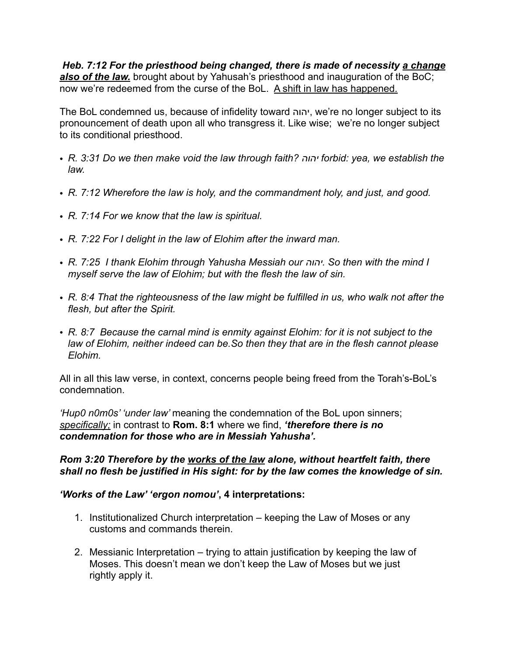*Heb. 7:12 For the priesthood being changed, there is made of necessity a change*  also of the law. brought about by Yahusah's priesthood and inauguration of the BoC; now we're redeemed from the curse of the BoL. A shift in law has happened.

The BoL condemned us, because of infidelity toward יהוה, we're no longer subject to its pronouncement of death upon all who transgress it. Like wise; we're no longer subject to its conditional priesthood.

- *• R. 3:31 Do we then make void the law through faith? יהוה forbid: yea, we establish the law.*
- *• R. 7:12 Wherefore the law is holy, and the commandment holy, and just, and good.*
- *• R. 7:14 For we know that the law is spiritual.*
- *• R. 7:22 For I delight in the law of Elohim after the inward man.*
- *• R. 7:25 I thank Elohim through Yahusha Messiah our יהוה. So then with the mind I myself serve the law of Elohim; but with the flesh the law of sin.*
- *• R. 8:4 That the righteousness of the law might be fulfilled in us, who walk not after the flesh, but after the Spirit.*
- *• R. 8:7 Because the carnal mind is enmity against Elohim: for it is not subject to the law of Elohim, neither indeed can be.So then they that are in the flesh cannot please Elohim.*

All in all this law verse, in context, concerns people being freed from the Torah's-BoL's condemnation.

*'Hup0 n0m0s' 'under law'* meaning the condemnation of the BoL upon sinners; *specifically;* in contrast to **Rom. 8:1** where we find, *'therefore there is no condemnation for those who are in Messiah Yahusha'.* 

## *Rom 3:20 Therefore by the works of the law alone, without heartfelt faith, there shall no flesh be justified in His sight: for by the law comes the knowledge of sin.*

### *'Works of the Law' 'ergon nomou'***, 4 interpretations:**

- 1. Institutionalized Church interpretation keeping the Law of Moses or any customs and commands therein.
- 2. Messianic Interpretation trying to attain justification by keeping the law of Moses. This doesn't mean we don't keep the Law of Moses but we just rightly apply it.